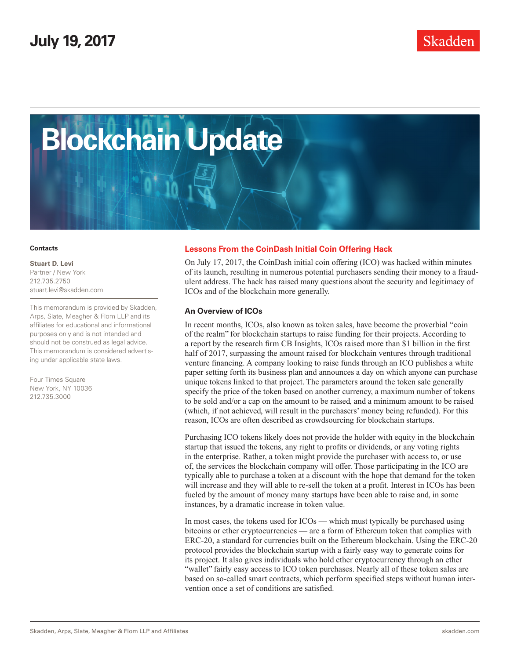

#### **Contacts**

**Stuart D. Levi** Partner / New York 212.735.2750 [stuart.levi@skadden.com](mailto:stuart.levi@skadden.com)

This memorandum is provided by Skadden, Arps, Slate, Meagher & Flom LLP and its affiliates for educational and informational purposes only and is not intended and should not be construed as legal advice. This memorandum is considered advertising under applicable state laws.

Four Times Square New York, NY 10036 212.735.3000

### **Lessons From the CoinDash Initial Coin Offering Hack**

On July 17, 2017, the CoinDash initial coin offering (ICO) was hacked within minutes of its launch, resulting in numerous potential purchasers sending their money to a fraudulent address. The hack has raised many questions about the security and legitimacy of ICOs and of the blockchain more generally.

#### **An Overview of ICOs**

In recent months, ICOs, also known as token sales, have become the proverbial "coin of the realm" for blockchain startups to raise funding for their projects. According to a report by the research firm CB Insights, ICOs raised more than \$1 billion in the first half of 2017, surpassing the amount raised for blockchain ventures through traditional venture financing. A company looking to raise funds through an ICO publishes a white paper setting forth its business plan and announces a day on which anyone can purchase unique tokens linked to that project. The parameters around the token sale generally specify the price of the token based on another currency, a maximum number of tokens to be sold and/or a cap on the amount to be raised, and a minimum amount to be raised (which, if not achieved, will result in the purchasers' money being refunded). For this reason, ICOs are often described as crowdsourcing for blockchain startups.

Purchasing ICO tokens likely does not provide the holder with equity in the blockchain startup that issued the tokens, any right to profits or dividends, or any voting rights in the enterprise. Rather, a token might provide the purchaser with access to, or use of, the services the blockchain company will offer. Those participating in the ICO are typically able to purchase a token at a discount with the hope that demand for the token will increase and they will able to re-sell the token at a profit. Interest in ICOs has been fueled by the amount of money many startups have been able to raise and, in some instances, by a dramatic increase in token value.

In most cases, the tokens used for ICOs — which must typically be purchased using bitcoins or ether cryptocurrencies — are a form of Ethereum token that complies with ERC-20, a standard for currencies built on the Ethereum blockchain. Using the ERC-20 protocol provides the blockchain startup with a fairly easy way to generate coins for its project. It also gives individuals who hold ether cryptocurrency through an ether "wallet" fairly easy access to ICO token purchases. Nearly all of these token sales are based on so-called smart contracts, which perform specified steps without human intervention once a set of conditions are satisfied.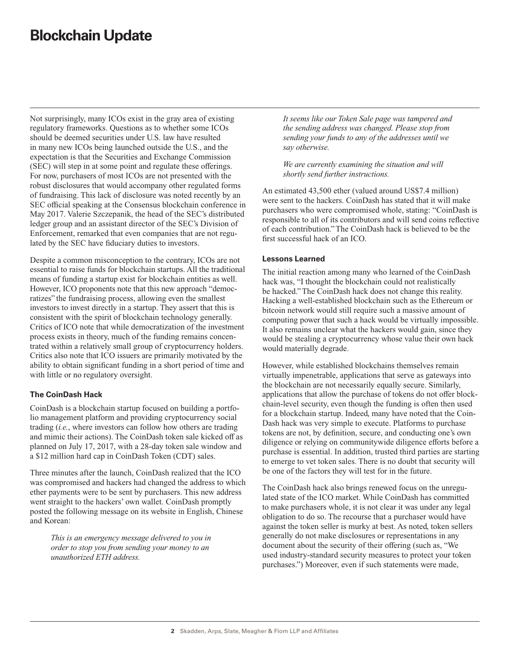## **Blockchain Update**

Not surprisingly, many ICOs exist in the gray area of existing regulatory frameworks. Questions as to whether some ICOs should be deemed securities under U.S. law have resulted in many new ICOs being launched outside the U.S., and the expectation is that the Securities and Exchange Commission (SEC) will step in at some point and regulate these offerings. For now, purchasers of most ICOs are not presented with the robust disclosures that would accompany other regulated forms of fundraising. This lack of disclosure was noted recently by an SEC official speaking at the Consensus blockchain conference in May 2017. Valerie Szczepanik, the head of the SEC's distributed ledger group and an assistant director of the SEC's Division of Enforcement, remarked that even companies that are not regulated by the SEC have fiduciary duties to investors.

Despite a common misconception to the contrary, ICOs are not essential to raise funds for blockchain startups. All the traditional means of funding a startup exist for blockchain entities as well. However, ICO proponents note that this new approach "democratizes" the fundraising process, allowing even the smallest investors to invest directly in a startup. They assert that this is consistent with the spirit of blockchain technology generally. Critics of ICO note that while democratization of the investment process exists in theory, much of the funding remains concentrated within a relatively small group of cryptocurrency holders. Critics also note that ICO issuers are primarily motivated by the ability to obtain significant funding in a short period of time and with little or no regulatory oversight.

## **The CoinDash Hack**

CoinDash is a blockchain startup focused on building a portfolio management platform and providing cryptocurrency social trading (*i.e.*, where investors can follow how others are trading and mimic their actions). The CoinDash token sale kicked off as planned on July 17, 2017, with a 28-day token sale window and a \$12 million hard cap in CoinDash Token (CDT) sales.

Three minutes after the launch, CoinDash realized that the ICO was compromised and hackers had changed the address to which ether payments were to be sent by purchasers. This new address went straight to the hackers' own wallet. CoinDash promptly posted the following message on its website in English, Chinese and Korean:

*This is an emergency message delivered to you in order to stop you from sending your money to an unauthorized ETH address.*

*It seems like our Token Sale page was tampered and the sending address was changed. Please stop from sending your funds to any of the addresses until we say otherwise.*

*We are currently examining the situation and will shortly send further instructions.*

An estimated 43,500 ether (valued around US\$7.4 million) were sent to the hackers. CoinDash has stated that it will make purchasers who were compromised whole, stating: "CoinDash is responsible to all of its contributors and will send coins reflective of each contribution." The CoinDash hack is believed to be the first successful hack of an ICO.

## **Lessons Learned**

The initial reaction among many who learned of the CoinDash hack was, "I thought the blockchain could not realistically be hacked." The CoinDash hack does not change this reality. Hacking a well-established blockchain such as the Ethereum or bitcoin network would still require such a massive amount of computing power that such a hack would be virtually impossible. It also remains unclear what the hackers would gain, since they would be stealing a cryptocurrency whose value their own hack would materially degrade.

However, while established blockchains themselves remain virtually impenetrable, applications that serve as gateways into the blockchain are not necessarily equally secure. Similarly, applications that allow the purchase of tokens do not offer blockchain-level security, even though the funding is often then used for a blockchain startup. Indeed, many have noted that the Coin-Dash hack was very simple to execute. Platforms to purchase tokens are not, by definition, secure, and conducting one's own diligence or relying on communitywide diligence efforts before a purchase is essential. In addition, trusted third parties are starting to emerge to vet token sales. There is no doubt that security will be one of the factors they will test for in the future.

The CoinDash hack also brings renewed focus on the unregulated state of the ICO market. While CoinDash has committed to make purchasers whole, it is not clear it was under any legal obligation to do so. The recourse that a purchaser would have against the token seller is murky at best. As noted, token sellers generally do not make disclosures or representations in any document about the security of their offering (such as, "We used industry-standard security measures to protect your token purchases.") Moreover, even if such statements were made,